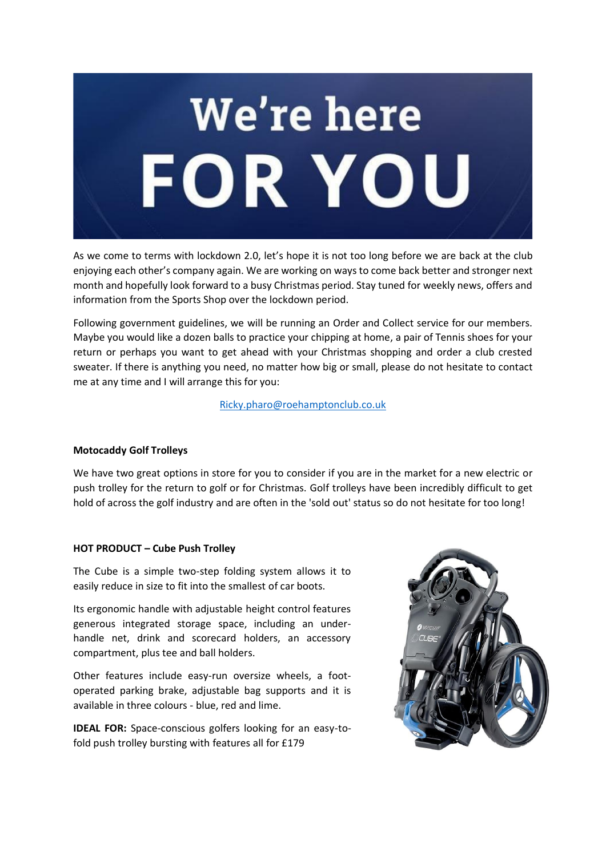

As we come to terms with lockdown 2.0, let's hope it is not too long before we are back at the club enjoying each other's company again. We are working on ways to come back better and stronger next month and hopefully look forward to a busy Christmas period. Stay tuned for weekly news, offers and information from the Sports Shop over the lockdown period.

Following government guidelines, we will be running an Order and Collect service for our members. Maybe you would like a dozen balls to practice your chipping at home, a pair of Tennis shoes for your return or perhaps you want to get ahead with your Christmas shopping and order a club crested sweater. If there is anything you need, no matter how big or small, please do not hesitate to contact me at any time and I will arrange this for you:

[Ricky.pharo@roehamptonclub.co.uk](mailto:Ricky.pharo@roehamptonclub.co.uk?subject=Order%20and%20Collect...)

## **Motocaddy Golf Trolleys**

We have two great options in store for you to consider if you are in the market for a new electric or push trolley for the return to golf or for Christmas. Golf trolleys have been incredibly difficult to get hold of across the golf industry and are often in the 'sold out' status so do not hesitate for too long!

## **HOT PRODUCT – Cube Push Trolley**

The Cube is a simple two-step folding system allows it to easily reduce in size to fit into the smallest of car boots.

Its ergonomic handle with adjustable height control features generous integrated storage space, including an underhandle net, drink and scorecard holders, an accessory compartment, plus tee and ball holders.

Other features include easy-run oversize wheels, a footoperated parking brake, adjustable bag supports and it is available in three colours - blue, red and lime.

**IDEAL FOR:** Space-conscious golfers looking for an easy-tofold push trolley bursting with features all for £179

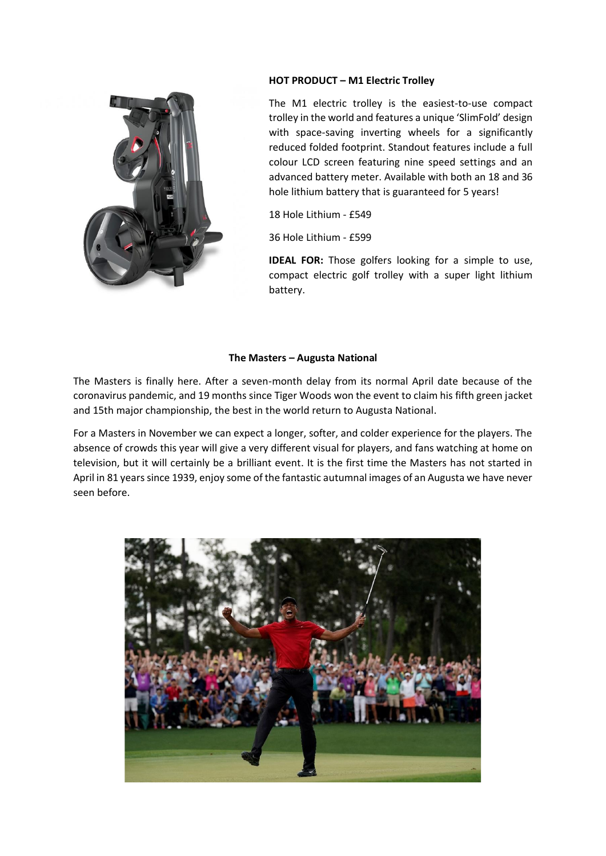## **HOT PRODUCT – M1 Electric Trolley**

The M1 electric trolley is the easiest-to-use compact trolley in the world and features a unique 'SlimFold' design with space-saving inverting wheels for a significantly reduced folded footprint. Standout features include a full colour LCD screen featuring nine speed settings and an advanced battery meter. Available with both an 18 and 36 hole lithium battery that is guaranteed for 5 years!

18 Hole Lithium - £549

36 Hole Lithium - £599

**IDEAL FOR:** Those golfers looking for a simple to use, compact electric golf trolley with a super light lithium battery.

# **The Masters – Augusta National**

The Masters is finally here. After a seven-month delay from its normal April date because of the coronavirus pandemic, and 19 months since Tiger Woods won the event to claim his fifth green jacket and 15th major championship, the best in the world return to Augusta National.

For a Masters in November we can expect a longer, softer, and colder experience for the players. The absence of crowds this year will give a very different visual for players, and fans watching at home on television, but it will certainly be a brilliant event. It is the first time the Masters has not started in April in 81 years since 1939, enjoy some of the fantastic autumnal images of an Augusta we have never seen before.

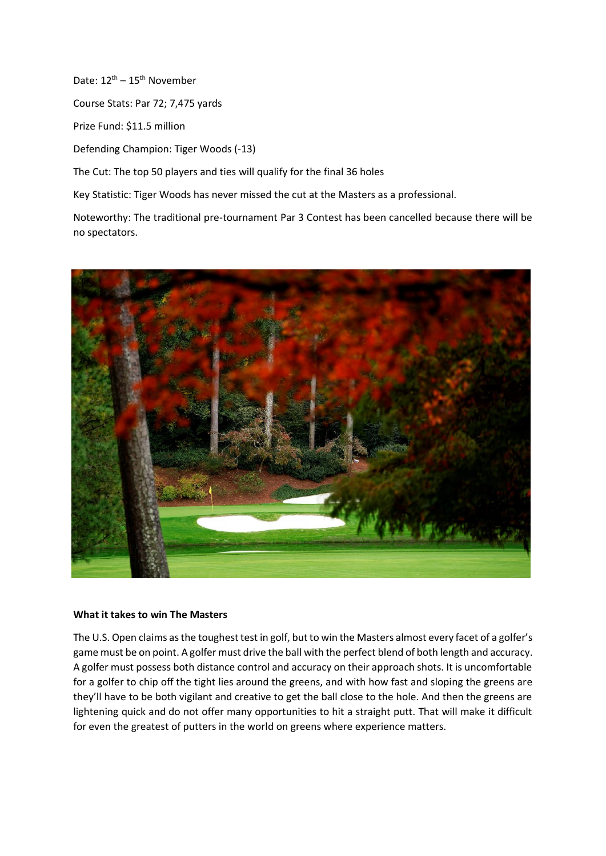Date:  $12^{\text{th}} - 15^{\text{th}}$  November

Course Stats: Par 72; 7,475 yards

Prize Fund: \$11.5 million

Defending Champion: Tiger Woods (-13)

The Cut: The top 50 players and ties will qualify for the final 36 holes

Key Statistic: Tiger Woods has never missed the cut at the Masters as a professional.

Noteworthy: The traditional pre-tournament Par 3 Contest has been cancelled because there will be no spectators.



## **What it takes to win The Masters**

The U.S. Open claims as the toughest test in golf, but to win the Masters almost every facet of a golfer's game must be on point. A golfer must drive the ball with the perfect blend of both length and accuracy. A golfer must possess both distance control and accuracy on their approach shots. It is uncomfortable for a golfer to chip off the tight lies around the greens, and with how fast and sloping the greens are they'll have to be both vigilant and creative to get the ball close to the hole. And then the greens are lightening quick and do not offer many opportunities to hit a straight putt. That will make it difficult for even the greatest of putters in the world on greens where experience matters.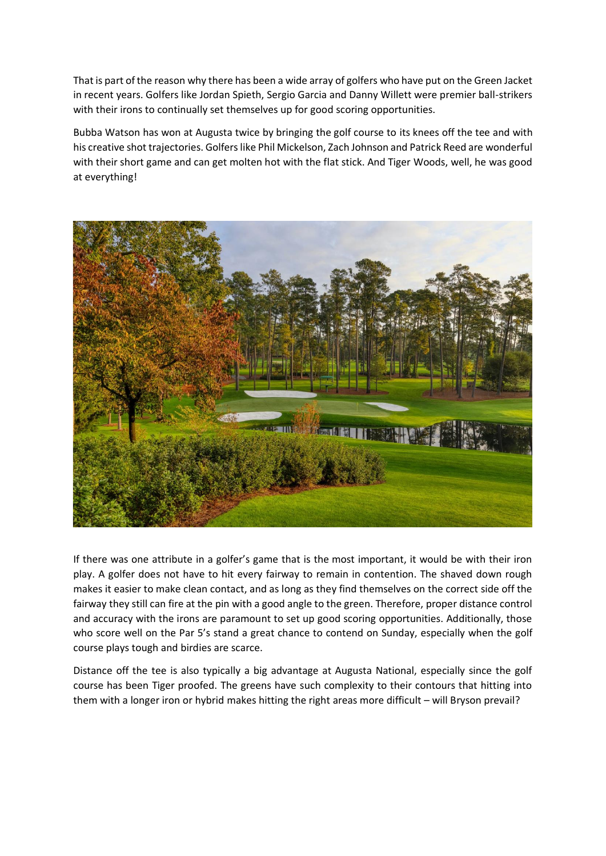That is part of the reason why there has been a wide array of golfers who have put on the Green Jacket in recent years. Golfers like Jordan Spieth, Sergio Garcia and Danny Willett were premier ball-strikers with their irons to continually set themselves up for good scoring opportunities.

Bubba Watson has won at Augusta twice by bringing the golf course to its knees off the tee and with his creative shot trajectories. Golfers like Phil Mickelson, Zach Johnson and Patrick Reed are wonderful with their short game and can get molten hot with the flat stick. And Tiger Woods, well, he was good at everything!



If there was one attribute in a golfer's game that is the most important, it would be with their iron play. A golfer does not have to hit every fairway to remain in contention. The shaved down rough makes it easier to make clean contact, and as long as they find themselves on the correct side off the fairway they still can fire at the pin with a good angle to the green. Therefore, proper distance control and accuracy with the irons are paramount to set up good scoring opportunities. Additionally, those who score well on the Par 5's stand a great chance to contend on Sunday, especially when the golf course plays tough and birdies are scarce.

Distance off the tee is also typically a big advantage at Augusta National, especially since the golf course has been Tiger proofed. The greens have such complexity to their contours that hitting into them with a longer iron or hybrid makes hitting the right areas more difficult – will Bryson prevail?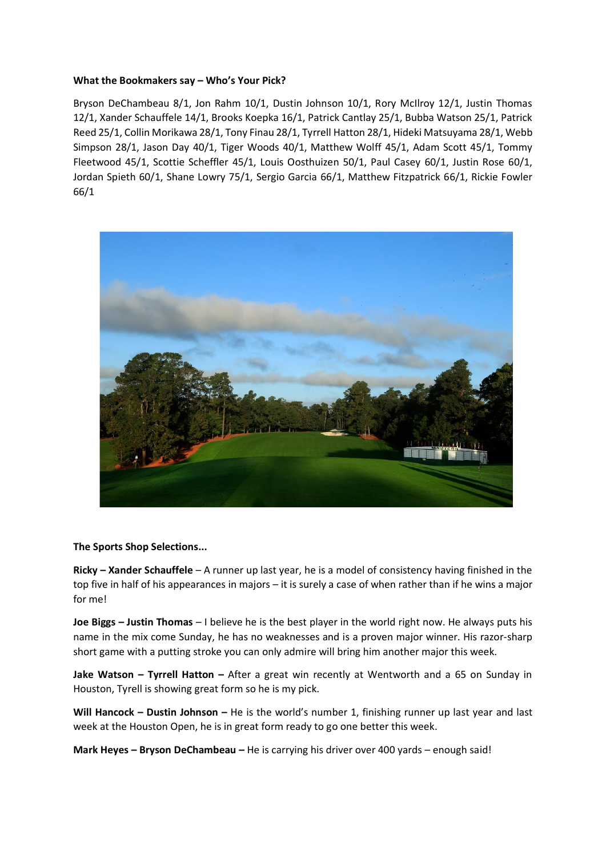## **What the Bookmakers say – Who's Your Pick?**

Bryson DeChambeau 8/1, Jon Rahm 10/1, Dustin Johnson 10/1, Rory McIlroy 12/1, Justin Thomas 12/1, Xander Schauffele 14/1, Brooks Koepka 16/1, Patrick Cantlay 25/1, Bubba Watson 25/1, Patrick Reed 25/1, Collin Morikawa 28/1, Tony Finau 28/1, Tyrrell Hatton 28/1, Hideki Matsuyama 28/1, Webb Simpson 28/1, Jason Day 40/1, Tiger Woods 40/1, Matthew Wolff 45/1, Adam Scott 45/1, Tommy Fleetwood 45/1, Scottie Scheffler 45/1, Louis Oosthuizen 50/1, Paul Casey 60/1, Justin Rose 60/1, Jordan Spieth 60/1, Shane Lowry 75/1, Sergio Garcia 66/1, Matthew Fitzpatrick 66/1, Rickie Fowler 66/1



## **The Sports Shop Selections...**

**Ricky – Xander Schauffele** – A runner up last year, he is a model of consistency having finished in the top five in half of his appearances in majors – it is surely a case of when rather than if he wins a major for me!

**Joe Biggs – Justin Thomas** – I believe he is the best player in the world right now. He always puts his name in the mix come Sunday, he has no weaknesses and is a proven major winner. His razor-sharp short game with a putting stroke you can only admire will bring him another major this week.

**Jake Watson – Tyrrell Hatton –** After a great win recently at Wentworth and a 65 on Sunday in Houston, Tyrell is showing great form so he is my pick.

**Will Hancock – Dustin Johnson –** He is the world's number 1, finishing runner up last year and last week at the Houston Open, he is in great form ready to go one better this week.

**Mark Heyes – Bryson DeChambeau –** He is carrying his driver over 400 yards – enough said!